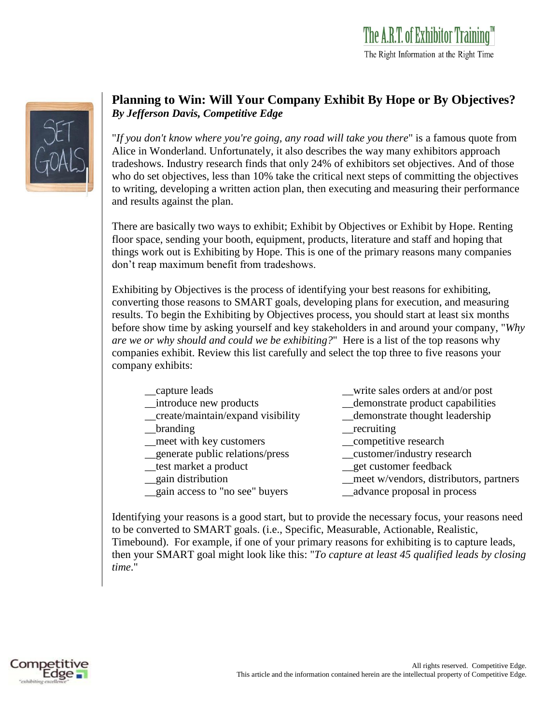

## **Planning to Win: Will Your Company Exhibit By Hope or By Objectives?** *By Jefferson Davis, Competitive Edge*

"*If you don't know where you're going, any road will take you there*" is a famous quote from Alice in Wonderland. Unfortunately, it also describes the way many exhibitors approach tradeshows. Industry research finds that only 24% of exhibitors set objectives. And of those who do set objectives, less than 10% take the critical next steps of committing the objectives to writing, developing a written action plan, then executing and measuring their performance and results against the plan.

There are basically two ways to exhibit; Exhibit by Objectives or Exhibit by Hope. Renting floor space, sending your booth, equipment, products, literature and staff and hoping that things work out is Exhibiting by Hope. This is one of the primary reasons many companies don't reap maximum benefit from tradeshows.

Exhibiting by Objectives is the process of identifying your best reasons for exhibiting, converting those reasons to SMART goals, developing plans for execution, and measuring results. To begin the Exhibiting by Objectives process, you should start at least six months before show time by asking yourself and key stakeholders in and around your company, "*Why are we or why should and could we be exhibiting?*" Here is a list of the top reasons why companies exhibit. Review this list carefully and select the top three to five reasons your company exhibits:

| __capture leads                    | _write sales orders at and/or post      |
|------------------------------------|-----------------------------------------|
| _introduce new products            | _demonstrate product capabilities       |
| _create/maintain/expand visibility | _demonstrate thought leadership         |
| branding                           | $\_recriting$                           |
| _meet with key customers           | __competitive research                  |
| generate public relations/press    | __customer/industry research            |
| _test market a product             | _get customer feedback                  |
| _gain distribution                 | _meet w/vendors, distributors, partners |
| _gain access to "no see" buyers    | advance proposal in process             |
|                                    |                                         |

Identifying your reasons is a good start, but to provide the necessary focus, your reasons need to be converted to SMART goals. (i.e., Specific, Measurable, Actionable, Realistic, Timebound). For example, if one of your primary reasons for exhibiting is to capture leads, then your SMART goal might look like this: "*To capture at least 45 qualified leads by closing time*."